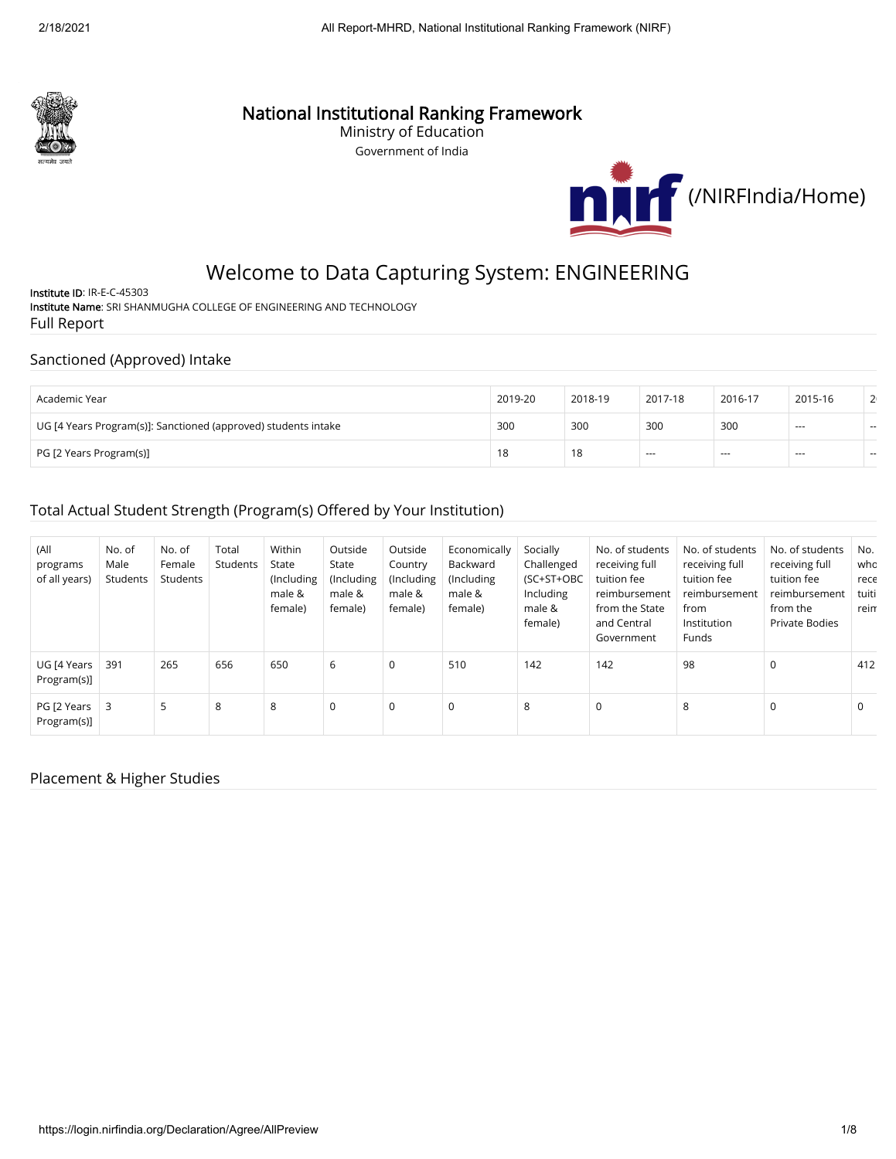

# National Institutional Ranking Framework

Ministry of Education Government of India



# Welcome to Data Capturing System: ENGINEERING

Institute ID: IR-E-C-45303 Institute Name: SRI SHANMUGHA COLLEGE OF ENGINEERING AND TECHNOLOGY Full Report

#### Sanctioned (Approved) Intake

| Academic Year                                                  | 2019-20 | 2018-19 | 2017-18  | 2016-17 | 2015-16  | 2 <sub>1</sub> |
|----------------------------------------------------------------|---------|---------|----------|---------|----------|----------------|
| UG [4 Years Program(s)]: Sanctioned (approved) students intake | 300     | 300     | 300      | 300     | $--$     | $\sim$         |
| PG [2 Years Program(s)]                                        | 18      | 18      | $\cdots$ | ---     | $\cdots$ | $\sim$         |

### Total Actual Student Strength (Program(s) Offered by Your Institution)

| (All<br>programs<br>of all years)    | No. of<br>Male<br>Students | No. of<br>Female<br>Students | Total<br>Students | Within<br>State<br>(Including<br>male &<br>female) | Outside<br>State<br>(Including<br>male &<br>female) | Outside<br>Country<br>(Including<br>male &<br>female) | Economically<br>Backward<br>(Including<br>male &<br>female) | Socially<br>Challenged<br>(SC+ST+OBC<br>Including<br>male &<br>female) | No. of students<br>receiving full<br>tuition fee<br>reimbursement<br>from the State<br>and Central<br>Government | No. of students<br>receiving full<br>tuition fee<br>reimbursement<br>from<br>Institution<br>Funds | No. of students<br>receiving full<br>tuition fee<br>reimbursement<br>from the<br><b>Private Bodies</b> | No.<br>who<br>rece<br>tuiti<br>reim |
|--------------------------------------|----------------------------|------------------------------|-------------------|----------------------------------------------------|-----------------------------------------------------|-------------------------------------------------------|-------------------------------------------------------------|------------------------------------------------------------------------|------------------------------------------------------------------------------------------------------------------|---------------------------------------------------------------------------------------------------|--------------------------------------------------------------------------------------------------------|-------------------------------------|
| UG [4 Years<br>Program(s)]           | 391                        | 265                          | 656               | 650                                                | 6                                                   | 0                                                     | 510                                                         | 142                                                                    | 142                                                                                                              | 98                                                                                                | $\Omega$                                                                                               | 412                                 |
| PG [2 Years $\vert$ 3<br>Program(s)] |                            | 5                            | 8                 | 8                                                  | 0                                                   | 0                                                     | $\mathbf 0$                                                 | 8                                                                      | $\mathbf 0$                                                                                                      | 8                                                                                                 | 0                                                                                                      | 0                                   |

#### Placement & Higher Studies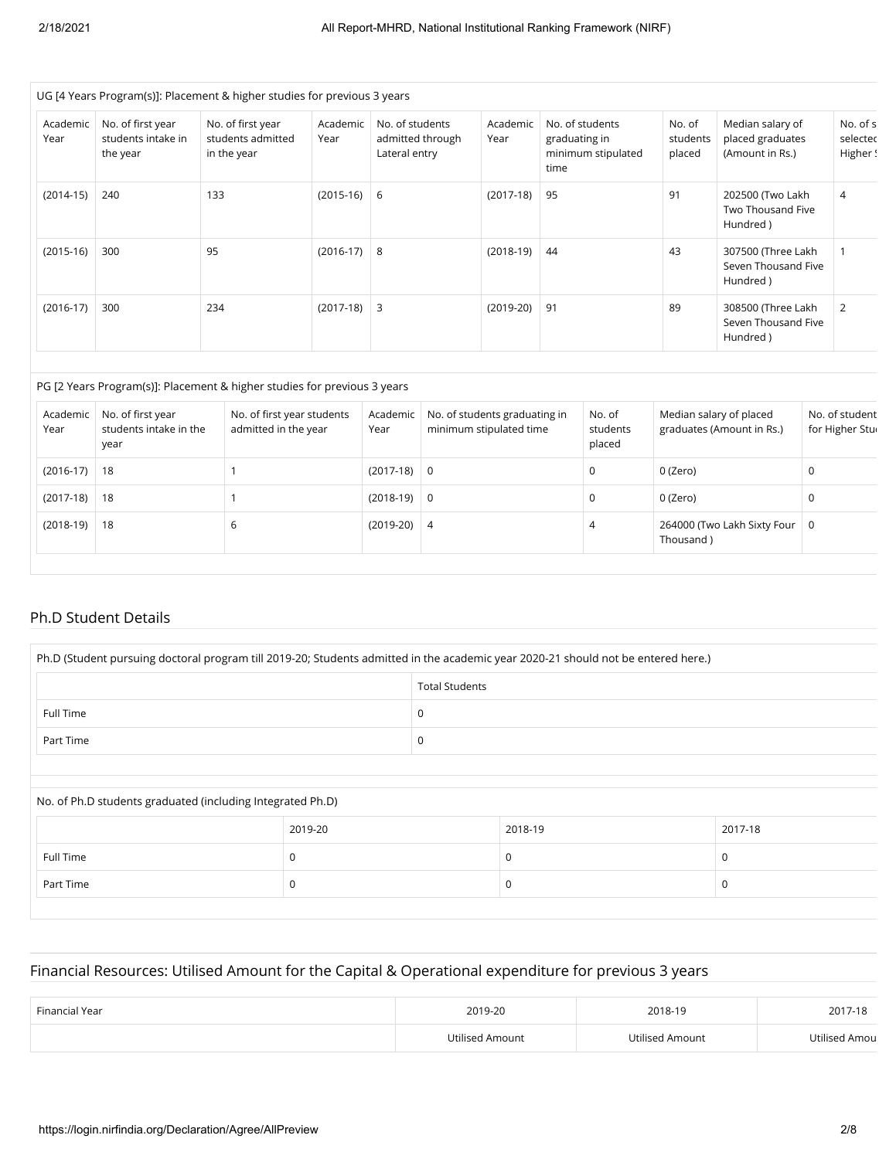|                  |                                                     | UG [4 Years Program(s)]: Placement & higher studies for previous 3 years |                  |                                                      |                  |                                                                |                              |                                                         |                                  |
|------------------|-----------------------------------------------------|--------------------------------------------------------------------------|------------------|------------------------------------------------------|------------------|----------------------------------------------------------------|------------------------------|---------------------------------------------------------|----------------------------------|
| Academic<br>Year | No. of first year<br>students intake in<br>the year | No. of first year<br>students admitted<br>in the year                    | Academic<br>Year | No. of students<br>admitted through<br>Lateral entry | Academic<br>Year | No. of students<br>graduating in<br>minimum stipulated<br>time | No. of<br>students<br>placed | Median salary of<br>placed graduates<br>(Amount in Rs.) | No. of s<br>selectec<br>Higher ! |
| $(2014-15)$      | 240                                                 | 133                                                                      | $(2015-16)$      | - 6                                                  | $(2017-18)$      | 95                                                             | 91                           | 202500 (Two Lakh<br>Two Thousand Five<br>Hundred)       | 4                                |
| $(2015-16)$      | 300                                                 | 95                                                                       | $(2016-17)$ 8    |                                                      | $(2018-19)$      | 44                                                             | 43                           | 307500 (Three Lakh<br>Seven Thousand Five<br>Hundred)   |                                  |
| $(2016-17)$      | 300                                                 | 234                                                                      | $(2017-18)$      | 3                                                    | $(2019-20)$      | 91                                                             | 89                           | 308500 (Three Lakh<br>Seven Thousand Five<br>Hundred)   | 2                                |

#### PG [2 Years Program(s)]: Placement & higher studies for previous 3 years

| Academic<br>Year | No. of first year<br>students intake in the<br>year | No. of first year students<br>admitted in the year | Academic<br>Year | No. of students graduating in<br>minimum stipulated time | No. of<br>students<br>placed | Median salary of placed<br>graduates (Amount in Rs.) | No. of student<br>for Higher Stur |
|------------------|-----------------------------------------------------|----------------------------------------------------|------------------|----------------------------------------------------------|------------------------------|------------------------------------------------------|-----------------------------------|
| $(2016-17)$   18 |                                                     |                                                    | $(2017-18)$ 0    |                                                          | 0                            | 0 (Zero)                                             | .C                                |
| $(2017-18)$      | 18                                                  |                                                    | $(2018-19)$ 0    |                                                          | 0                            | 0 (Zero)                                             | C                                 |
| $(2018-19)$      | 18                                                  | b                                                  | $(2019-20)$ 4    |                                                          | 4                            | 264000 (Two Lakh Sixty Four   0<br>Thousand)         |                                   |

#### Ph.D Student Details

| Ph.D (Student pursuing doctoral program till 2019-20; Students admitted in the academic year 2020-21 should not be entered here.) |                       |  |  |  |
|-----------------------------------------------------------------------------------------------------------------------------------|-----------------------|--|--|--|
|                                                                                                                                   | <b>Total Students</b> |  |  |  |
| Full Time                                                                                                                         | 0                     |  |  |  |
| Part Time                                                                                                                         | 0                     |  |  |  |
|                                                                                                                                   |                       |  |  |  |

| No. of Ph.D students graduated (including Integrated Ph.D) |         |         |         |  |  |  |
|------------------------------------------------------------|---------|---------|---------|--|--|--|
|                                                            | 2019-20 | 2018-19 | 2017-18 |  |  |  |
| Full Time                                                  | 0       | U       | u       |  |  |  |
| Part Time                                                  | 0       | u       |         |  |  |  |

### Financial Resources: Utilised Amount for the Capital & Operational expenditure for previous 3 years

| Financial Year | 2019-20         | 2018-19         | 2017-18       |
|----------------|-----------------|-----------------|---------------|
|                | Utilised Amount | Utilised Amount | Utilised Amou |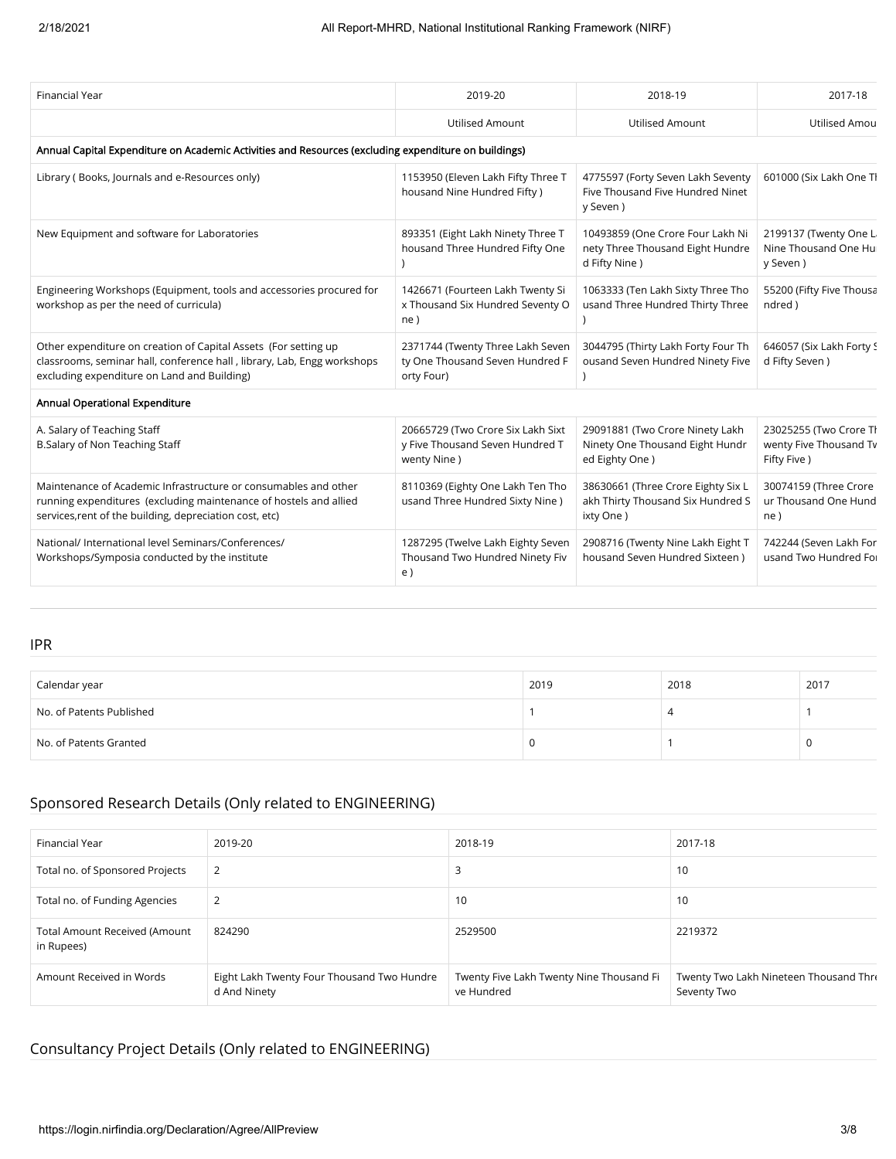| <b>Financial Year</b>                                                                                                                                                                           | 2019-20                                                                             | 2018-19                                                                               | 2017-18                                                         |
|-------------------------------------------------------------------------------------------------------------------------------------------------------------------------------------------------|-------------------------------------------------------------------------------------|---------------------------------------------------------------------------------------|-----------------------------------------------------------------|
|                                                                                                                                                                                                 | <b>Utilised Amount</b>                                                              | <b>Utilised Amount</b>                                                                | <b>Utilised Amou</b>                                            |
| Annual Capital Expenditure on Academic Activities and Resources (excluding expenditure on buildings)                                                                                            |                                                                                     |                                                                                       |                                                                 |
| Library (Books, Journals and e-Resources only)                                                                                                                                                  | 1153950 (Eleven Lakh Fifty Three T<br>housand Nine Hundred Fifty)                   | 4775597 (Forty Seven Lakh Seventy<br>Five Thousand Five Hundred Ninet<br>y Seven)     | 601000 (Six Lakh One Tl                                         |
| New Equipment and software for Laboratories                                                                                                                                                     | 893351 (Eight Lakh Ninety Three T<br>housand Three Hundred Fifty One                | 10493859 (One Crore Four Lakh Ni<br>nety Three Thousand Eight Hundre<br>d Fifty Nine) | 2199137 (Twenty One Li<br>Nine Thousand One Hui<br>y Seven)     |
| Engineering Workshops (Equipment, tools and accessories procured for<br>workshop as per the need of curricula)                                                                                  | 1426671 (Fourteen Lakh Twenty Si<br>x Thousand Six Hundred Seventy O<br>ne)         | 1063333 (Ten Lakh Sixty Three Tho<br>usand Three Hundred Thirty Three                 | 55200 (Fifty Five Thousa<br>ndred)                              |
| Other expenditure on creation of Capital Assets (For setting up<br>classrooms, seminar hall, conference hall, library, Lab, Engg workshops<br>excluding expenditure on Land and Building)       | 2371744 (Twenty Three Lakh Seven<br>ty One Thousand Seven Hundred F<br>orty Four)   | 3044795 (Thirty Lakh Forty Four Th<br>ousand Seven Hundred Ninety Five                | 646057 (Six Lakh Forty S<br>d Fifty Seven)                      |
| Annual Operational Expenditure                                                                                                                                                                  |                                                                                     |                                                                                       |                                                                 |
| A. Salary of Teaching Staff<br>B.Salary of Non Teaching Staff                                                                                                                                   | 20665729 (Two Crore Six Lakh Sixt<br>y Five Thousand Seven Hundred T<br>wenty Nine) | 29091881 (Two Crore Ninety Lakh<br>Ninety One Thousand Eight Hundr<br>ed Eighty One)  | 23025255 (Two Crore Th<br>wenty Five Thousand Tv<br>Fifty Five) |
| Maintenance of Academic Infrastructure or consumables and other<br>running expenditures (excluding maintenance of hostels and allied<br>services, rent of the building, depreciation cost, etc) | 8110369 (Eighty One Lakh Ten Tho<br>usand Three Hundred Sixty Nine)                 | 38630661 (Three Crore Eighty Six L<br>akh Thirty Thousand Six Hundred S<br>ixty One)  | 30074159 (Three Crore<br>ur Thousand One Hund<br>ne)            |
| National/ International level Seminars/Conferences/<br>Workshops/Symposia conducted by the institute                                                                                            | 1287295 (Twelve Lakh Eighty Seven<br>Thousand Two Hundred Ninety Fiv<br>e)          | 2908716 (Twenty Nine Lakh Eight T<br>housand Seven Hundred Sixteen)                   | 742244 (Seven Lakh For<br>usand Two Hundred For                 |

#### IPR

| Calendar year            | 2019 | 2018 | 2017 |
|--------------------------|------|------|------|
| No. of Patents Published |      | 4    |      |
| No. of Patents Granted   |      |      |      |

## Sponsored Research Details (Only related to ENGINEERING)

| Financial Year                                     | 2019-20                                                    | 2018-19                                                | 2017-18                                               |
|----------------------------------------------------|------------------------------------------------------------|--------------------------------------------------------|-------------------------------------------------------|
| Total no. of Sponsored Projects                    | 2                                                          | 3                                                      | 10                                                    |
| Total no. of Funding Agencies                      | 2                                                          | 10                                                     | 10                                                    |
| <b>Total Amount Received (Amount</b><br>in Rupees) | 824290                                                     | 2529500                                                | 2219372                                               |
| Amount Received in Words                           | Eight Lakh Twenty Four Thousand Two Hundre<br>d And Ninety | Twenty Five Lakh Twenty Nine Thousand Fi<br>ve Hundred | Twenty Two Lakh Nineteen Thousand Thre<br>Seventy Two |

## Consultancy Project Details (Only related to ENGINEERING)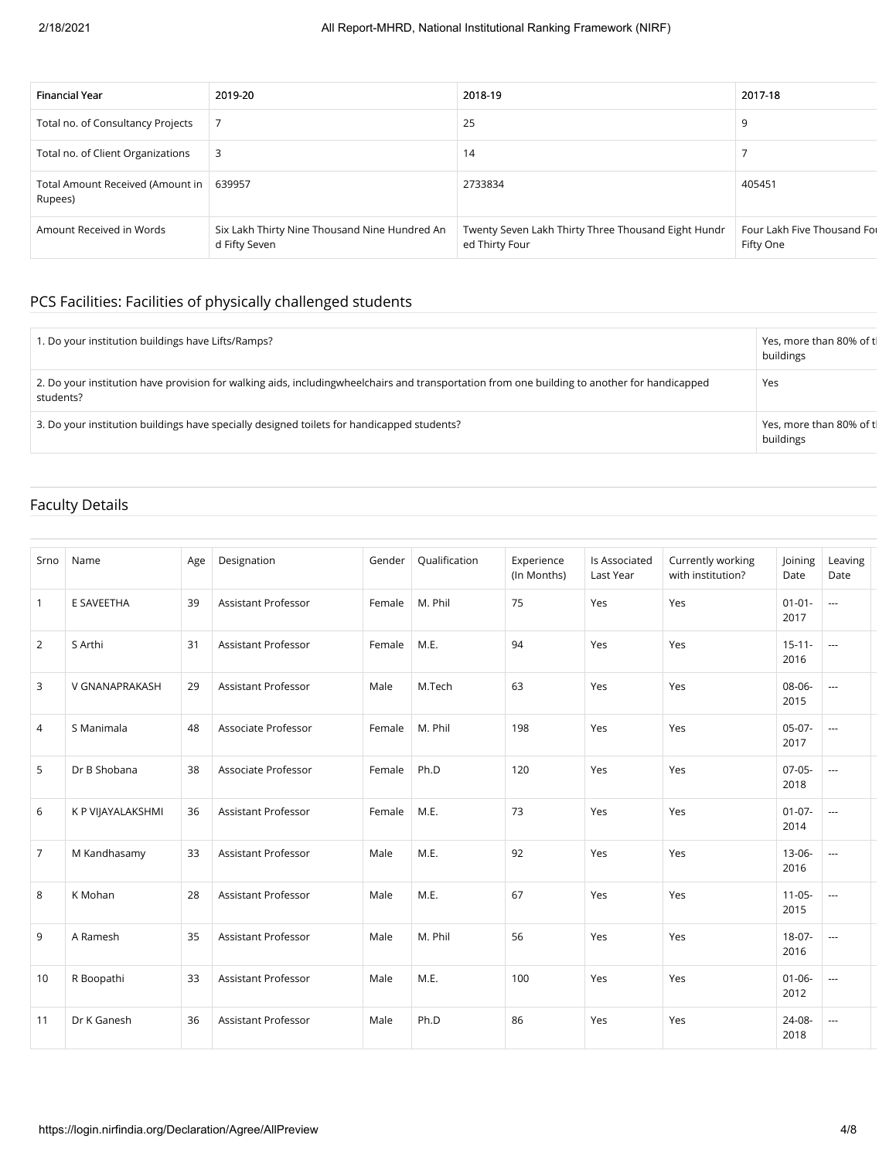| Financial Year                                       | 2019-20                                                        | 2018-19                                                               | 2017-18                                  |
|------------------------------------------------------|----------------------------------------------------------------|-----------------------------------------------------------------------|------------------------------------------|
| Total no. of Consultancy Projects                    |                                                                | 25                                                                    | 9                                        |
| Total no. of Client Organizations                    | 3                                                              | 14                                                                    |                                          |
| Total Amount Received (Amount in   639957<br>Rupees) |                                                                | 2733834                                                               | 405451                                   |
| Amount Received in Words                             | Six Lakh Thirty Nine Thousand Nine Hundred An<br>d Fifty Seven | Twenty Seven Lakh Thirty Three Thousand Eight Hundr<br>ed Thirty Four | Four Lakh Five Thousand Fou<br>Fifty One |

## PCS Facilities: Facilities of physically challenged students

| 1. Do your institution buildings have Lifts/Ramps?                                                                                                          | Yes, more than 80% of tl<br>buildings |
|-------------------------------------------------------------------------------------------------------------------------------------------------------------|---------------------------------------|
| 2. Do your institution have provision for walking aids, including wheel chairs and transportation from one building to another for handicapped<br>students? | Yes                                   |
| 3. Do your institution buildings have specially designed toilets for handicapped students?                                                                  | Yes, more than 80% of tl<br>buildings |

### Faculty Details

| Srno           | Name              | Age | Designation                | Gender | Qualification | Experience<br>(In Months) | Is Associated<br>Last Year | Currently working<br>with institution? | Joining<br>Date     | Leaving<br>Date |
|----------------|-------------------|-----|----------------------------|--------|---------------|---------------------------|----------------------------|----------------------------------------|---------------------|-----------------|
| $\mathbf{1}$   | E SAVEETHA        | 39  | <b>Assistant Professor</b> | Female | M. Phil       | 75                        | Yes                        | Yes                                    | $01 - 01 -$<br>2017 | $\overline{a}$  |
| 2              | S Arthi           | 31  | <b>Assistant Professor</b> | Female | M.E.          | 94                        | Yes                        | Yes                                    | $15 - 11 -$<br>2016 | $\overline{a}$  |
| 3              | V GNANAPRAKASH    | 29  | <b>Assistant Professor</b> | Male   | M.Tech        | 63                        | Yes                        | Yes                                    | 08-06-<br>2015      | ---             |
| 4              | S Manimala        | 48  | Associate Professor        | Female | M. Phil       | 198                       | Yes                        | Yes                                    | $05-07-$<br>2017    | ---             |
| 5              | Dr B Shobana      | 38  | Associate Professor        | Female | Ph.D          | 120                       | Yes                        | Yes                                    | $07-05-$<br>2018    | $\overline{a}$  |
| 6              | K P VIJAYALAKSHMI | 36  | <b>Assistant Professor</b> | Female | M.E.          | 73                        | Yes                        | Yes                                    | $01-07-$<br>2014    | $\overline{a}$  |
| $\overline{7}$ | M Kandhasamy      | 33  | <b>Assistant Professor</b> | Male   | M.E.          | 92                        | Yes                        | Yes                                    | $13 - 06 -$<br>2016 | $\overline{a}$  |
| 8              | K Mohan           | 28  | <b>Assistant Professor</b> | Male   | M.E.          | 67                        | Yes                        | Yes                                    | $11-05-$<br>2015    | $\overline{a}$  |
| 9              | A Ramesh          | 35  | <b>Assistant Professor</b> | Male   | M. Phil       | 56                        | Yes                        | Yes                                    | $18-07-$<br>2016    | $\overline{a}$  |
| 10             | R Boopathi        | 33  | <b>Assistant Professor</b> | Male   | M.E.          | 100                       | Yes                        | Yes                                    | $01 - 06 -$<br>2012 | $\overline{a}$  |
| 11             | Dr K Ganesh       | 36  | <b>Assistant Professor</b> | Male   | Ph.D          | 86                        | Yes                        | Yes                                    | 24-08-<br>2018      | $\overline{a}$  |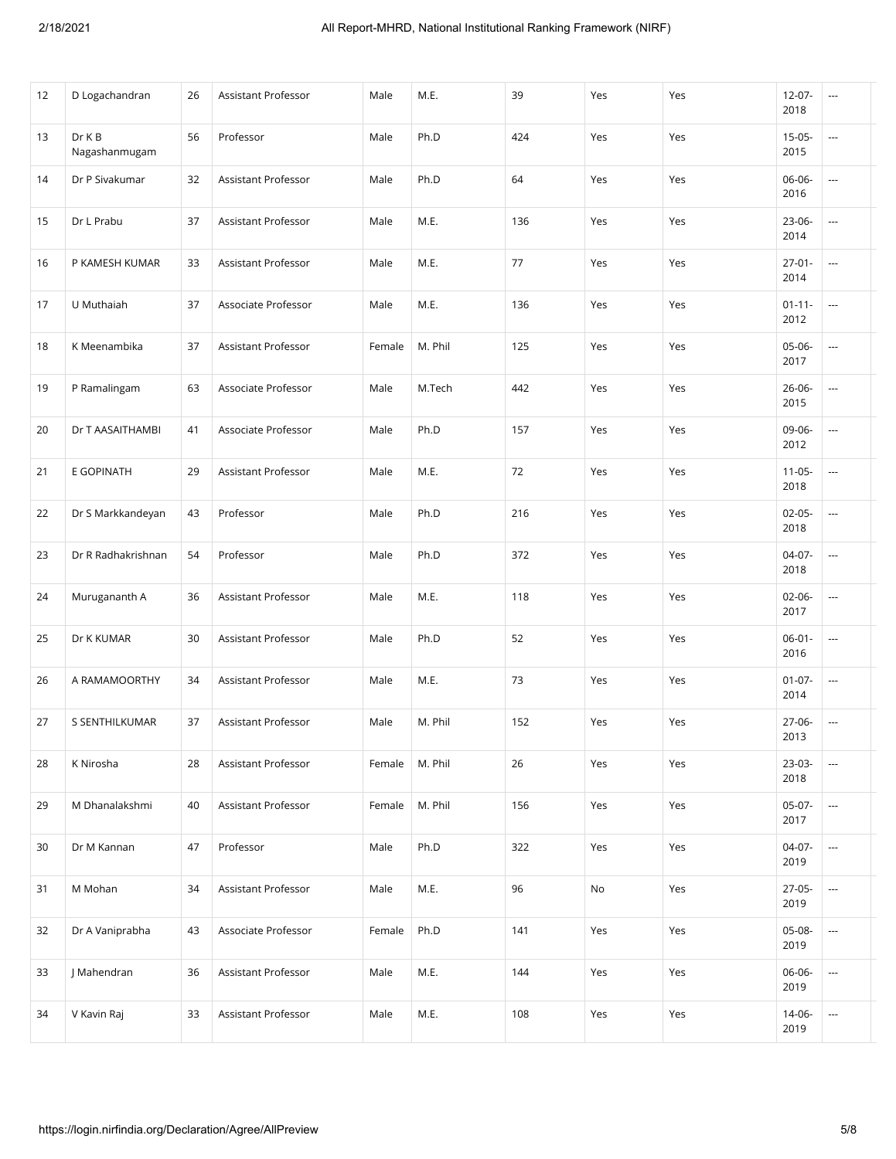| 12 | D Logachandran          | 26 | Assistant Professor | Male   | M.E.    | 39  | Yes | Yes | $12-07-$<br>2018    | ---                      |
|----|-------------------------|----|---------------------|--------|---------|-----|-----|-----|---------------------|--------------------------|
| 13 | Dr K B<br>Nagashanmugam | 56 | Professor           | Male   | Ph.D    | 424 | Yes | Yes | $15-05-$<br>2015    | $\overline{\phantom{a}}$ |
| 14 | Dr P Sivakumar          | 32 | Assistant Professor | Male   | Ph.D    | 64  | Yes | Yes | 06-06-<br>2016      | ---                      |
| 15 | Dr L Prabu              | 37 | Assistant Professor | Male   | M.E.    | 136 | Yes | Yes | 23-06-<br>2014      |                          |
| 16 | P KAMESH KUMAR          | 33 | Assistant Professor | Male   | M.E.    | 77  | Yes | Yes | $27 - 01 -$<br>2014 | $\overline{\phantom{a}}$ |
| 17 | U Muthaiah              | 37 | Associate Professor | Male   | M.E.    | 136 | Yes | Yes | $01 - 11 -$<br>2012 | $\overline{\phantom{a}}$ |
| 18 | K Meenambika            | 37 | Assistant Professor | Female | M. Phil | 125 | Yes | Yes | 05-06-<br>2017      | ---                      |
| 19 | P Ramalingam            | 63 | Associate Professor | Male   | M.Tech  | 442 | Yes | Yes | 26-06-<br>2015      | ---                      |
| 20 | Dr T AASAITHAMBI        | 41 | Associate Professor | Male   | Ph.D    | 157 | Yes | Yes | 09-06-<br>2012      | $\overline{\phantom{a}}$ |
| 21 | E GOPINATH              | 29 | Assistant Professor | Male   | M.E.    | 72  | Yes | Yes | $11-05-$<br>2018    | $\overline{\phantom{a}}$ |
| 22 | Dr S Markkandeyan       | 43 | Professor           | Male   | Ph.D    | 216 | Yes | Yes | $02-05-$<br>2018    | $\overline{\phantom{a}}$ |
| 23 | Dr R Radhakrishnan      | 54 | Professor           | Male   | Ph.D    | 372 | Yes | Yes | $04-07-$<br>2018    | i.                       |
| 24 | Murugananth A           | 36 | Assistant Professor | Male   | M.E.    | 118 | Yes | Yes | $02 - 06 -$<br>2017 | $\overline{\phantom{a}}$ |
| 25 | Dr K KUMAR              | 30 | Assistant Professor | Male   | Ph.D    | 52  | Yes | Yes | $06 - 01 -$<br>2016 | ---                      |
| 26 | A RAMAMOORTHY           | 34 | Assistant Professor | Male   | M.E.    | 73  | Yes | Yes | $01-07-$<br>2014    | $\sim$                   |
| 27 | S SENTHILKUMAR          | 37 | Assistant Professor | Male   | M. Phil | 152 | Yes | Yes | 27-06-<br>2013      |                          |
| 28 | K Nirosha               | 28 | Assistant Professor | Female | M. Phil | 26  | Yes | Yes | 23-03-<br>2018      | $\overline{\phantom{a}}$ |
| 29 | M Dhanalakshmi          | 40 | Assistant Professor | Female | M. Phil | 156 | Yes | Yes | $05-07-$<br>2017    | $\hspace{0.05cm}\ldots$  |
| 30 | Dr M Kannan             | 47 | Professor           | Male   | Ph.D    | 322 | Yes | Yes | 04-07-<br>2019      | $\overline{a}$           |
| 31 | M Mohan                 | 34 | Assistant Professor | Male   | M.E.    | 96  | No  | Yes | 27-05-<br>2019      | ---                      |
| 32 | Dr A Vaniprabha         | 43 | Associate Professor | Female | Ph.D    | 141 | Yes | Yes | 05-08-<br>2019      | $\hspace{0.05cm}\ldots$  |
| 33 | J Mahendran             | 36 | Assistant Professor | Male   | M.E.    | 144 | Yes | Yes | 06-06-<br>2019      | ---                      |
| 34 | V Kavin Raj             | 33 | Assistant Professor | Male   | M.E.    | 108 | Yes | Yes | 14-06-<br>2019      | ---                      |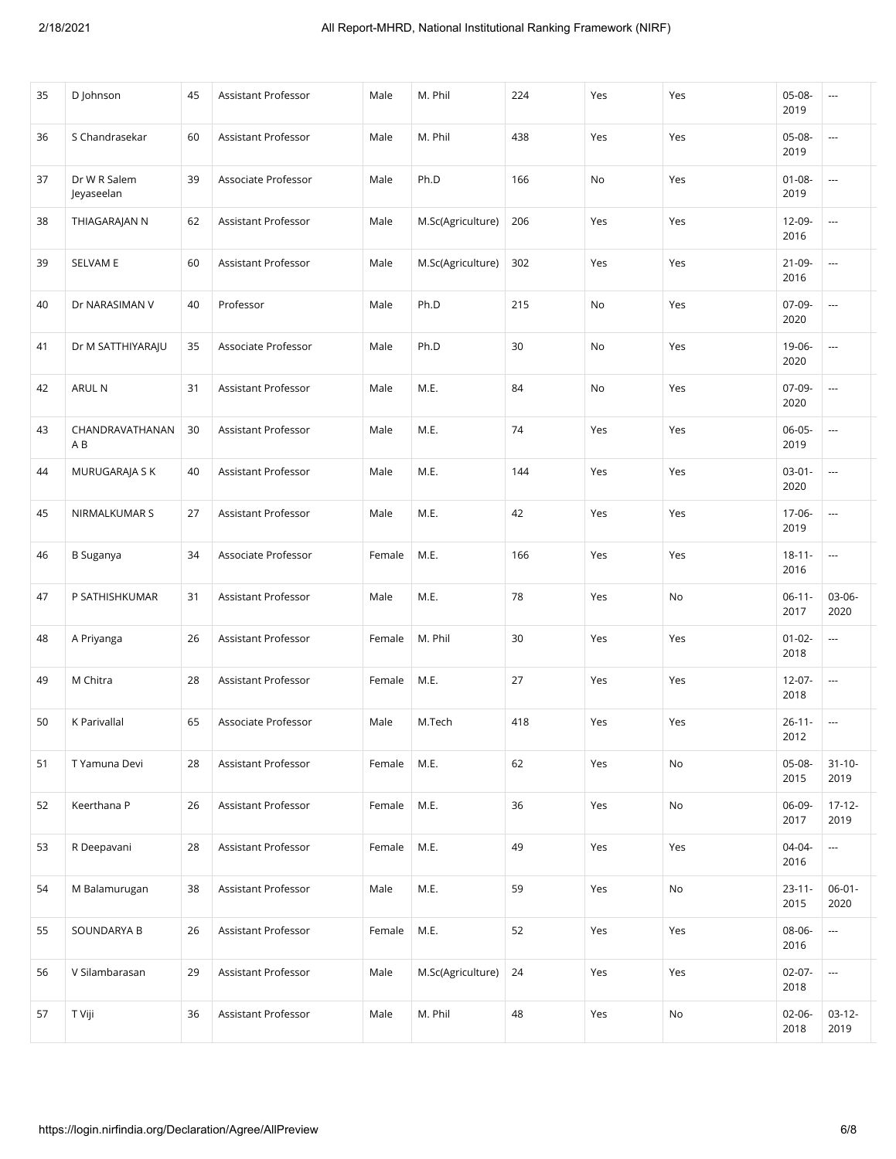| 35 | D Johnson                  | 45 | Assistant Professor        | Male   | M. Phil           | 224 | Yes | Yes | 05-08-<br>2019      | ---                      |
|----|----------------------------|----|----------------------------|--------|-------------------|-----|-----|-----|---------------------|--------------------------|
| 36 | S Chandrasekar             | 60 | Assistant Professor        | Male   | M. Phil           | 438 | Yes | Yes | 05-08-<br>2019      | ---                      |
| 37 | Dr W R Salem<br>Jeyaseelan | 39 | Associate Professor        | Male   | Ph.D              | 166 | No  | Yes | $01 - 08 -$<br>2019 | ---                      |
| 38 | THIAGARAJAN N              | 62 | Assistant Professor        | Male   | M.Sc(Agriculture) | 206 | Yes | Yes | 12-09-<br>2016      | $\overline{a}$           |
| 39 | SELVAM E                   | 60 | Assistant Professor        | Male   | M.Sc(Agriculture) | 302 | Yes | Yes | $21 - 09 -$<br>2016 | $\overline{\phantom{a}}$ |
| 40 | Dr NARASIMAN V             | 40 | Professor                  | Male   | Ph.D              | 215 | No  | Yes | 07-09-<br>2020      | ---                      |
| 41 | Dr M SATTHIYARAJU          | 35 | Associate Professor        | Male   | Ph.D              | 30  | No  | Yes | 19-06-<br>2020      | $\overline{\phantom{a}}$ |
| 42 | ARUL N                     | 31 | <b>Assistant Professor</b> | Male   | M.E.              | 84  | No  | Yes | 07-09-<br>2020      | $\overline{\phantom{a}}$ |
| 43 | CHANDRAVATHANAN<br>A B     | 30 | Assistant Professor        | Male   | M.E.              | 74  | Yes | Yes | 06-05-<br>2019      | $\overline{\phantom{a}}$ |
| 44 | MURUGARAJA S K             | 40 | <b>Assistant Professor</b> | Male   | M.E.              | 144 | Yes | Yes | $03-01-$<br>2020    | $\sim$                   |
| 45 | NIRMALKUMAR S              | 27 | Assistant Professor        | Male   | M.E.              | 42  | Yes | Yes | 17-06-<br>2019      | $\sim$                   |
| 46 | <b>B</b> Suganya           | 34 | Associate Professor        | Female | M.E.              | 166 | Yes | Yes | $18 - 11 -$<br>2016 | $\overline{\phantom{a}}$ |
| 47 | P SATHISHKUMAR             | 31 | Assistant Professor        | Male   | M.E.              | 78  | Yes | No  | $06-11-$<br>2017    | 03-06-<br>2020           |
| 48 | A Priyanga                 | 26 | Assistant Professor        | Female | M. Phil           | 30  | Yes | Yes | $01 - 02 -$<br>2018 | $\sim$                   |
| 49 | M Chitra                   | 28 | Assistant Professor        | Female | M.E.              | 27  | Yes | Yes | $12-07-$<br>2018    | ---                      |
| 50 | K Parivallal               | 65 | Associate Professor        | Male   | M.Tech            | 418 | Yes | Yes | $26 - 11 -$<br>2012 | $\overline{a}$           |
| 51 | T Yamuna Devi              | 28 | Assistant Professor        | Female | M.E.              | 62  | Yes | No  | 05-08-<br>2015      | $31 - 10 -$<br>2019      |
| 52 | Keerthana P                | 26 | Assistant Professor        | Female | M.E.              | 36  | Yes | No  | 06-09-<br>2017      | $17 - 12 -$<br>2019      |
| 53 | R Deepavani                | 28 | Assistant Professor        | Female | M.E.              | 49  | Yes | Yes | 04-04-<br>2016      | $\hspace{0.05cm}\ldots$  |
| 54 | M Balamurugan              | 38 | Assistant Professor        | Male   | M.E.              | 59  | Yes | No  | $23 - 11 -$<br>2015 | $06 - 01 -$<br>2020      |
| 55 | SOUNDARYA B                | 26 | Assistant Professor        | Female | M.E.              | 52  | Yes | Yes | 08-06-<br>2016      | $\hspace{0.05cm}\ldots$  |
| 56 | V Silambarasan             | 29 | Assistant Professor        | Male   | M.Sc(Agriculture) | 24  | Yes | Yes | $02-07-$<br>2018    | $\hspace{0.05cm}\ldots$  |
| 57 | T Viji                     | 36 | Assistant Professor        | Male   | M. Phil           | 48  | Yes | No  | $02 - 06 -$<br>2018 | $03-12-$<br>2019         |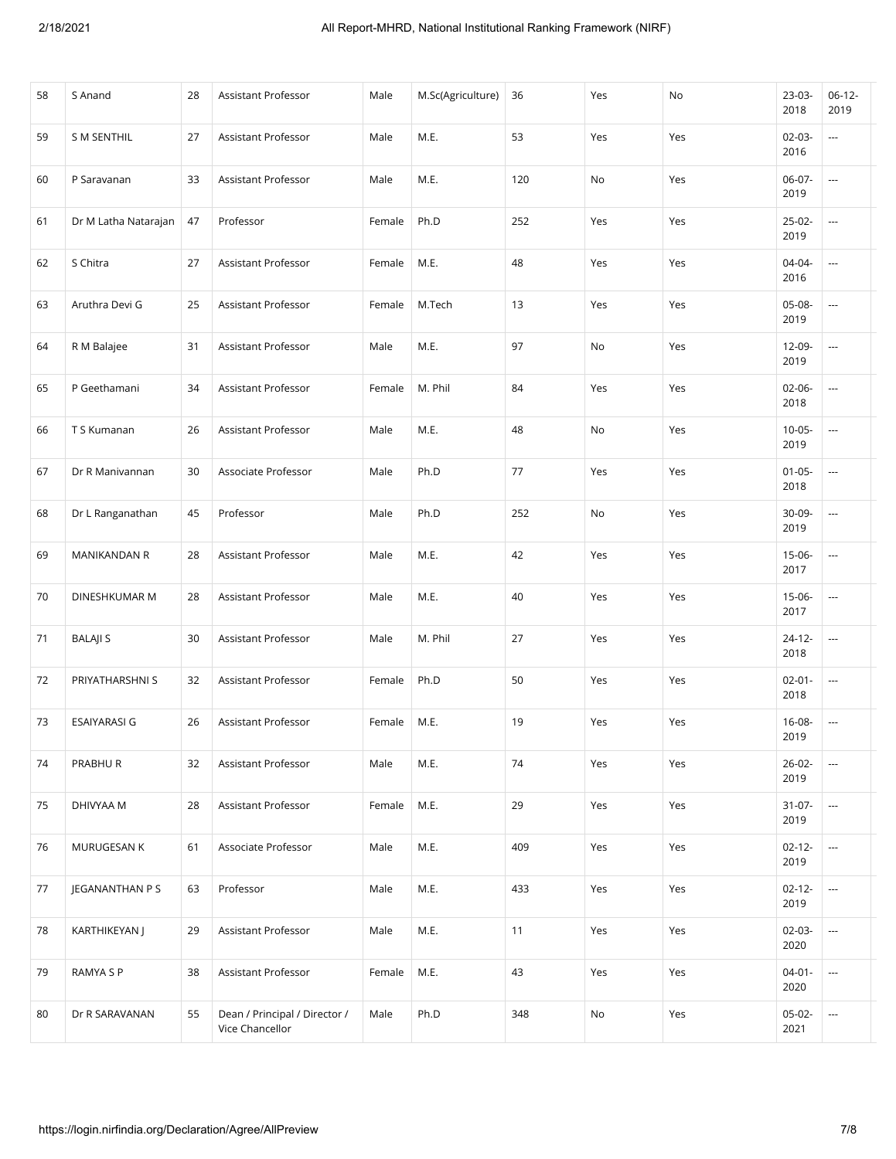| 58 | S Anand              | 28 | Assistant Professor                              | Male   | M.Sc(Agriculture) | 36  | Yes | No  | 23-03-<br>2018      | $06-12-$<br>2019         |
|----|----------------------|----|--------------------------------------------------|--------|-------------------|-----|-----|-----|---------------------|--------------------------|
| 59 | <b>S M SENTHIL</b>   | 27 | Assistant Professor                              | Male   | M.E.              | 53  | Yes | Yes | $02-03-$<br>2016    | ---                      |
| 60 | P Saravanan          | 33 | Assistant Professor                              | Male   | M.E.              | 120 | No  | Yes | 06-07-<br>2019      | $\cdots$                 |
| 61 | Dr M Latha Natarajan | 47 | Professor                                        | Female | Ph.D              | 252 | Yes | Yes | 25-02-<br>2019      |                          |
| 62 | S Chitra             | 27 | <b>Assistant Professor</b>                       | Female | M.E.              | 48  | Yes | Yes | 04-04-<br>2016      | ---                      |
| 63 | Aruthra Devi G       | 25 | Assistant Professor                              | Female | M.Tech            | 13  | Yes | Yes | 05-08-<br>2019      | $\cdots$                 |
| 64 | R M Balajee          | 31 | <b>Assistant Professor</b>                       | Male   | M.E.              | 97  | No  | Yes | 12-09-<br>2019      | $\cdots$                 |
| 65 | P Geethamani         | 34 | <b>Assistant Professor</b>                       | Female | M. Phil           | 84  | Yes | Yes | $02 - 06 -$<br>2018 | ---                      |
| 66 | T S Kumanan          | 26 | <b>Assistant Professor</b>                       | Male   | M.E.              | 48  | No  | Yes | $10-05-$<br>2019    |                          |
| 67 | Dr R Manivannan      | 30 | Associate Professor                              | Male   | Ph.D              | 77  | Yes | Yes | $01 - 05 -$<br>2018 | $\cdots$                 |
| 68 | Dr L Ranganathan     | 45 | Professor                                        | Male   | Ph.D              | 252 | No  | Yes | 30-09-<br>2019      | $\cdots$                 |
| 69 | MANIKANDAN R         | 28 | <b>Assistant Professor</b>                       | Male   | M.E.              | 42  | Yes | Yes | $15-06-$<br>2017    |                          |
| 70 | DINESHKUMAR M        | 28 | Assistant Professor                              | Male   | M.E.              | 40  | Yes | Yes | 15-06-<br>2017      | ---                      |
| 71 | <b>BALAJI S</b>      | 30 | Assistant Professor                              | Male   | M. Phil           | 27  | Yes | Yes | $24 - 12 -$<br>2018 | $\overline{\phantom{a}}$ |
| 72 | PRIYATHARSHNI S      | 32 | <b>Assistant Professor</b>                       | Female | Ph.D              | 50  | Yes | Yes | $02 - 01 -$<br>2018 | $\overline{\phantom{a}}$ |
| 73 | <b>ESAIYARASI G</b>  | 26 | <b>Assistant Professor</b>                       | Female | M.E.              | 19  | Yes | Yes | $16 - 08 -$<br>2019 | $\overline{\phantom{a}}$ |
| 74 | PRABHUR              | 32 | Assistant Professor                              | Male   | M.E.              | 74  | Yes | Yes | $26 - 02 -$<br>2019 | ---                      |
| 75 | DHIVYAA M            | 28 | Assistant Professor                              | Female | M.E.              | 29  | Yes | Yes | $31 - 07 -$<br>2019 | ---                      |
| 76 | MURUGESAN K          | 61 | Associate Professor                              | Male   | M.E.              | 409 | Yes | Yes | $02 - 12 -$<br>2019 | $\overline{\phantom{a}}$ |
| 77 | JEGANANTHAN P S      | 63 | Professor                                        | Male   | M.E.              | 433 | Yes | Yes | $02 - 12 -$<br>2019 | ---                      |
| 78 | KARTHIKEYAN J        | 29 | Assistant Professor                              | Male   | M.E.              | 11  | Yes | Yes | $02 - 03 -$<br>2020 | ---                      |
| 79 | RAMYA S P            | 38 | Assistant Professor                              | Female | M.E.              | 43  | Yes | Yes | $04 - 01 -$<br>2020 | ---                      |
| 80 | Dr R SARAVANAN       | 55 | Dean / Principal / Director /<br>Vice Chancellor | Male   | Ph.D              | 348 | No  | Yes | $05-02-$<br>2021    | ---                      |